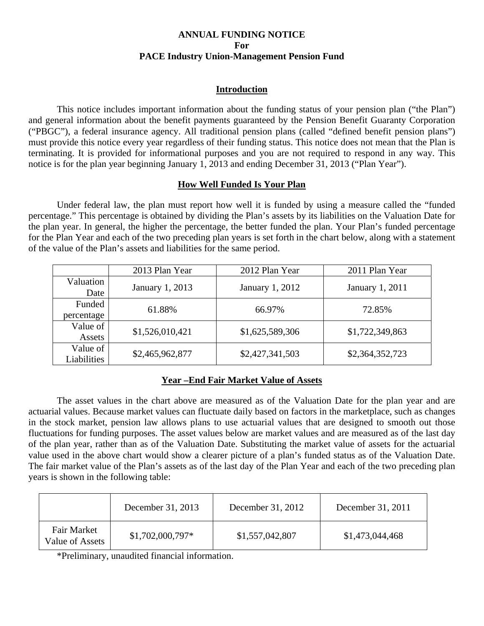# **ANNUAL FUNDING NOTICE For PACE Industry Union-Management Pension Fund**

# **Introduction**

This notice includes important information about the funding status of your pension plan ("the Plan") and general information about the benefit payments guaranteed by the Pension Benefit Guaranty Corporation ("PBGC"), a federal insurance agency. All traditional pension plans (called "defined benefit pension plans") must provide this notice every year regardless of their funding status. This notice does not mean that the Plan is terminating. It is provided for informational purposes and you are not required to respond in any way. This notice is for the plan year beginning January 1, 2013 and ending December 31, 2013 ("Plan Year").

# **How Well Funded Is Your Plan**

Under federal law, the plan must report how well it is funded by using a measure called the "funded percentage." This percentage is obtained by dividing the Plan's assets by its liabilities on the Valuation Date for the plan year. In general, the higher the percentage, the better funded the plan. Your Plan's funded percentage for the Plan Year and each of the two preceding plan years is set forth in the chart below, along with a statement of the value of the Plan's assets and liabilities for the same period.

|                         | 2013 Plan Year  | 2012 Plan Year  | 2011 Plan Year  |
|-------------------------|-----------------|-----------------|-----------------|
| Valuation<br>Date       | January 1, 2013 | January 1, 2012 | January 1, 2011 |
| Funded<br>percentage    | 61.88%          | 66.97%          | 72.85%          |
| Value of<br>Assets      | \$1,526,010,421 | \$1,625,589,306 | \$1,722,349,863 |
| Value of<br>Liabilities | \$2,465,962,877 | \$2,427,341,503 | \$2,364,352,723 |

# **Year –End Fair Market Value of Assets**

The asset values in the chart above are measured as of the Valuation Date for the plan year and are actuarial values. Because market values can fluctuate daily based on factors in the marketplace, such as changes in the stock market, pension law allows plans to use actuarial values that are designed to smooth out those fluctuations for funding purposes. The asset values below are market values and are measured as of the last day of the plan year, rather than as of the Valuation Date. Substituting the market value of assets for the actuarial value used in the above chart would show a clearer picture of a plan's funded status as of the Valuation Date. The fair market value of the Plan's assets as of the last day of the Plan Year and each of the two preceding plan years is shown in the following table:

|                                       | December 31, 2013 | December 31, 2012 | December 31, 2011 |
|---------------------------------------|-------------------|-------------------|-------------------|
| <b>Fair Market</b><br>Value of Assets | $$1,702,000,797*$ | \$1,557,042,807   | \$1,473,044,468   |

\*Preliminary, unaudited financial information.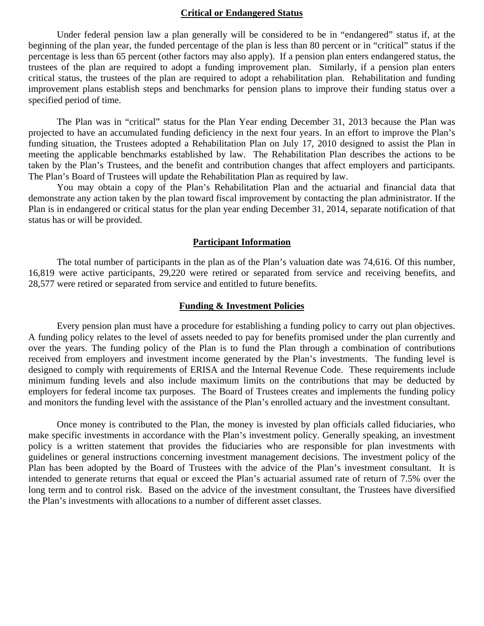## **Critical or Endangered Status**

Under federal pension law a plan generally will be considered to be in "endangered" status if, at the beginning of the plan year, the funded percentage of the plan is less than 80 percent or in "critical" status if the percentage is less than 65 percent (other factors may also apply). If a pension plan enters endangered status, the trustees of the plan are required to adopt a funding improvement plan. Similarly, if a pension plan enters critical status, the trustees of the plan are required to adopt a rehabilitation plan. Rehabilitation and funding improvement plans establish steps and benchmarks for pension plans to improve their funding status over a specified period of time.

The Plan was in "critical" status for the Plan Year ending December 31, 2013 because the Plan was projected to have an accumulated funding deficiency in the next four years. In an effort to improve the Plan's funding situation, the Trustees adopted a Rehabilitation Plan on July 17, 2010 designed to assist the Plan in meeting the applicable benchmarks established by law. The Rehabilitation Plan describes the actions to be taken by the Plan's Trustees, and the benefit and contribution changes that affect employers and participants. The Plan's Board of Trustees will update the Rehabilitation Plan as required by law.

 You may obtain a copy of the Plan's Rehabilitation Plan and the actuarial and financial data that demonstrate any action taken by the plan toward fiscal improvement by contacting the plan administrator. If the Plan is in endangered or critical status for the plan year ending December 31, 2014, separate notification of that status has or will be provided.

#### **Participant Information**

The total number of participants in the plan as of the Plan's valuation date was 74,616. Of this number, 16,819 were active participants, 29,220 were retired or separated from service and receiving benefits, and 28,577 were retired or separated from service and entitled to future benefits.

#### **Funding & Investment Policies**

Every pension plan must have a procedure for establishing a funding policy to carry out plan objectives. A funding policy relates to the level of assets needed to pay for benefits promised under the plan currently and over the years. The funding policy of the Plan is to fund the Plan through a combination of contributions received from employers and investment income generated by the Plan's investments. The funding level is designed to comply with requirements of ERISA and the Internal Revenue Code. These requirements include minimum funding levels and also include maximum limits on the contributions that may be deducted by employers for federal income tax purposes. The Board of Trustees creates and implements the funding policy and monitors the funding level with the assistance of the Plan's enrolled actuary and the investment consultant.

Once money is contributed to the Plan, the money is invested by plan officials called fiduciaries, who make specific investments in accordance with the Plan's investment policy. Generally speaking, an investment policy is a written statement that provides the fiduciaries who are responsible for plan investments with guidelines or general instructions concerning investment management decisions. The investment policy of the Plan has been adopted by the Board of Trustees with the advice of the Plan's investment consultant. It is intended to generate returns that equal or exceed the Plan's actuarial assumed rate of return of 7.5% over the long term and to control risk. Based on the advice of the investment consultant, the Trustees have diversified the Plan's investments with allocations to a number of different asset classes.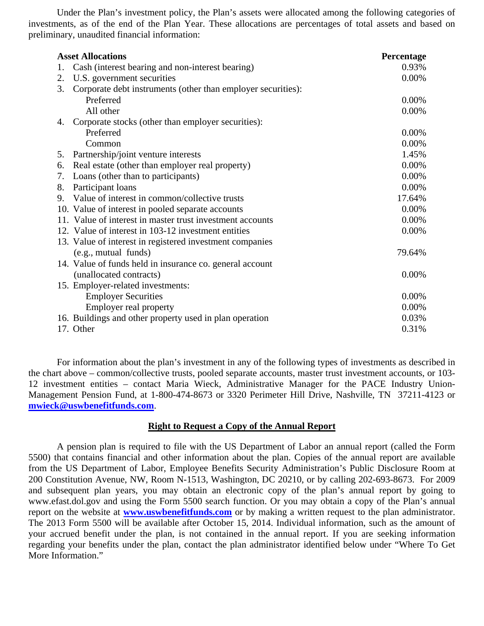Under the Plan's investment policy, the Plan's assets were allocated among the following categories of investments, as of the end of the Plan Year. These allocations are percentages of total assets and based on preliminary, unaudited financial information:

| <b>Asset Allocations</b>                                           | Percentage |
|--------------------------------------------------------------------|------------|
| Cash (interest bearing and non-interest bearing)<br>1.             | 0.93%      |
| U.S. government securities<br>2.                                   | 0.00%      |
| Corporate debt instruments (other than employer securities):<br>3. |            |
| Preferred                                                          | 0.00%      |
| All other                                                          | 0.00%      |
| Corporate stocks (other than employer securities):<br>4.           |            |
| Preferred                                                          | 0.00%      |
| Common                                                             | 0.00%      |
| Partnership/joint venture interests<br>5.                          | 1.45%      |
| Real estate (other than employer real property)<br>6.              | 0.00%      |
| Loans (other than to participants)<br>7.                           | 0.00%      |
| Participant loans<br>8.                                            | 0.00%      |
| Value of interest in common/collective trusts<br>9.                | 17.64%     |
| 10. Value of interest in pooled separate accounts                  | 0.00%      |
| 11. Value of interest in master trust investment accounts          | 0.00%      |
| 12. Value of interest in 103-12 investment entities                | 0.00%      |
| 13. Value of interest in registered investment companies           |            |
| (e.g., mutual funds)                                               | 79.64%     |
| 14. Value of funds held in insurance co. general account           |            |
| (unallocated contracts)                                            | 0.00%      |
| 15. Employer-related investments:                                  |            |
| <b>Employer Securities</b>                                         | 0.00%      |
| Employer real property                                             | 0.00%      |
| 16. Buildings and other property used in plan operation            | 0.03%      |
| 17. Other                                                          | 0.31%      |

For information about the plan's investment in any of the following types of investments as described in the chart above – common/collective trusts, pooled separate accounts, master trust investment accounts, or 103- 12 investment entities – contact Maria Wieck, Administrative Manager for the PACE Industry Union-Management Pension Fund, at 1-800-474-8673 or 3320 Perimeter Hill Drive, Nashville, TN 37211-4123 or **mwieck@uswbenefitfunds.com**.

# **Right to Request a Copy of the Annual Report**

A pension plan is required to file with the US Department of Labor an annual report (called the Form 5500) that contains financial and other information about the plan. Copies of the annual report are available from the US Department of Labor, Employee Benefits Security Administration's Public Disclosure Room at 200 Constitution Avenue, NW, Room N-1513, Washington, DC 20210, or by calling 202-693-8673. For 2009 and subsequent plan years, you may obtain an electronic copy of the plan's annual report by going to www.efast.dol.gov and using the Form 5500 search function. Or you may obtain a copy of the Plan's annual report on the website at **www.uswbenefitfunds.com** or by making a written request to the plan administrator. The 2013 Form 5500 will be available after October 15, 2014. Individual information, such as the amount of your accrued benefit under the plan, is not contained in the annual report. If you are seeking information regarding your benefits under the plan, contact the plan administrator identified below under "Where To Get More Information."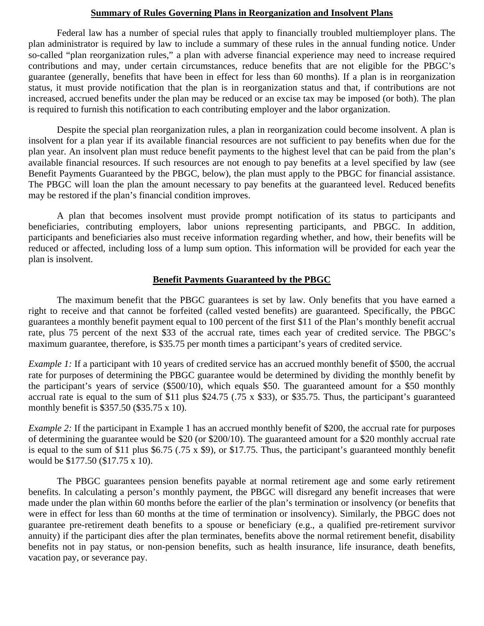### **Summary of Rules Governing Plans in Reorganization and Insolvent Plans**

Federal law has a number of special rules that apply to financially troubled multiemployer plans. The plan administrator is required by law to include a summary of these rules in the annual funding notice. Under so-called "plan reorganization rules," a plan with adverse financial experience may need to increase required contributions and may, under certain circumstances, reduce benefits that are not eligible for the PBGC's guarantee (generally, benefits that have been in effect for less than 60 months). If a plan is in reorganization status, it must provide notification that the plan is in reorganization status and that, if contributions are not increased, accrued benefits under the plan may be reduced or an excise tax may be imposed (or both). The plan is required to furnish this notification to each contributing employer and the labor organization.

Despite the special plan reorganization rules, a plan in reorganization could become insolvent. A plan is insolvent for a plan year if its available financial resources are not sufficient to pay benefits when due for the plan year. An insolvent plan must reduce benefit payments to the highest level that can be paid from the plan's available financial resources. If such resources are not enough to pay benefits at a level specified by law (see Benefit Payments Guaranteed by the PBGC, below), the plan must apply to the PBGC for financial assistance. The PBGC will loan the plan the amount necessary to pay benefits at the guaranteed level. Reduced benefits may be restored if the plan's financial condition improves.

A plan that becomes insolvent must provide prompt notification of its status to participants and beneficiaries, contributing employers, labor unions representing participants, and PBGC. In addition, participants and beneficiaries also must receive information regarding whether, and how, their benefits will be reduced or affected, including loss of a lump sum option. This information will be provided for each year the plan is insolvent.

## **Benefit Payments Guaranteed by the PBGC**

The maximum benefit that the PBGC guarantees is set by law. Only benefits that you have earned a right to receive and that cannot be forfeited (called vested benefits) are guaranteed. Specifically, the PBGC guarantees a monthly benefit payment equal to 100 percent of the first \$11 of the Plan's monthly benefit accrual rate, plus 75 percent of the next \$33 of the accrual rate, times each year of credited service. The PBGC's maximum guarantee, therefore, is \$35.75 per month times a participant's years of credited service.

*Example 1:* If a participant with 10 years of credited service has an accrued monthly benefit of \$500, the accrual rate for purposes of determining the PBGC guarantee would be determined by dividing the monthly benefit by the participant's years of service (\$500/10), which equals \$50. The guaranteed amount for a \$50 monthly accrual rate is equal to the sum of \$11 plus \$24.75 (.75 x \$33), or \$35.75. Thus, the participant's guaranteed monthly benefit is \$357.50 (\$35.75 x 10).

*Example 2:* If the participant in Example 1 has an accrued monthly benefit of \$200, the accrual rate for purposes of determining the guarantee would be \$20 (or \$200/10). The guaranteed amount for a \$20 monthly accrual rate is equal to the sum of \$11 plus \$6.75 (.75 x \$9), or \$17.75. Thus, the participant's guaranteed monthly benefit would be \$177.50 (\$17.75 x 10).

The PBGC guarantees pension benefits payable at normal retirement age and some early retirement benefits. In calculating a person's monthly payment, the PBGC will disregard any benefit increases that were made under the plan within 60 months before the earlier of the plan's termination or insolvency (or benefits that were in effect for less than 60 months at the time of termination or insolvency). Similarly, the PBGC does not guarantee pre-retirement death benefits to a spouse or beneficiary (e.g., a qualified pre-retirement survivor annuity) if the participant dies after the plan terminates, benefits above the normal retirement benefit, disability benefits not in pay status, or non-pension benefits, such as health insurance, life insurance, death benefits, vacation pay, or severance pay.